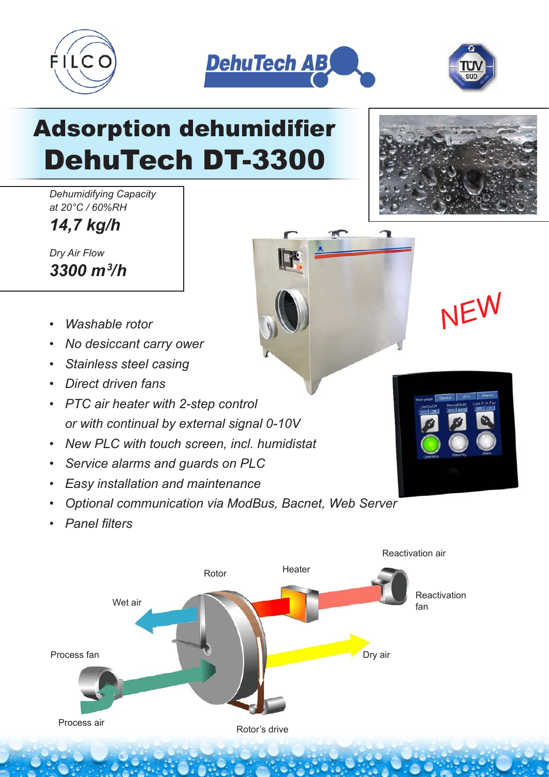





## Adsorption dehumidifier DehuTech DT-3300

*Dehumidifying Capacity at 20°C / 60%RH*

*14,7 kg/h*

*Dry Air Flow 3300 m3 /h*

- *Washable rotor NEW*
- *No desiccant carry ower*
- *Stainless steel casing*
- *Direct driven fans*
- *PTC air heater with 2-step control or with continual by external signal 0-10V*
- *New PLC with touch screen, incl. humidistat*
- *Service alarms and guards on PLC*
- *Easy installation and maintenance*
- *Optional communication via ModBus, Bacnet, Web Server*
- *Panel filters*